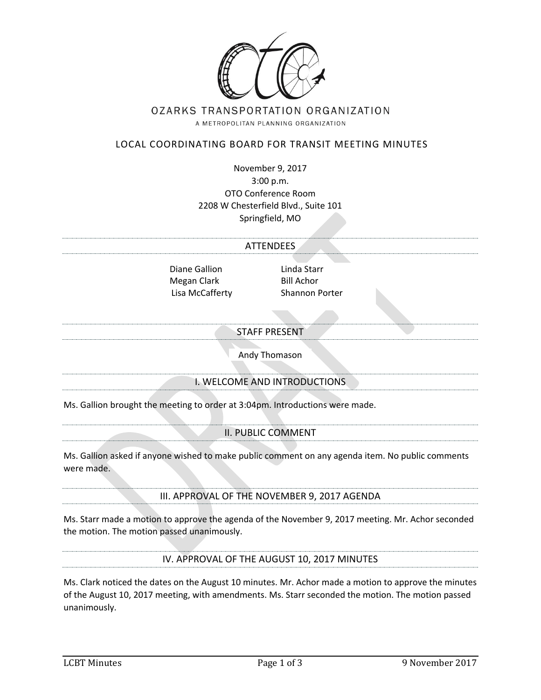

# OZARKS TRANSPORTATION ORGANIZATION

A METROPOLITAN PLANNING ORGANIZATION

# LOCAL COORDINATING BOARD FOR TRANSIT MEETING MINUTES

November 9, 2017 3:00 p.m. OTO Conference Room 2208 W Chesterfield Blvd., Suite 101 Springfield, MO

#### **ATTENDEES**

Diane Gallion Linda Starr Megan Clark Bill Achor Lisa McCafferty Shannon Porter

#### STAFF PRESENT

Andy Thomason

## I. WELCOME AND INTRODUCTIONS

Ms. Gallion brought the meeting to order at 3:04pm. Introductions were made.

#### II. PUBLIC COMMENT

Ms. Gallion asked if anyone wished to make public comment on any agenda item. No public comments were made.

## III. APPROVAL OF THE NOVEMBER 9, 2017 AGENDA

Ms. Starr made a motion to approve the agenda of the November 9, 2017 meeting. Mr. Achor seconded the motion. The motion passed unanimously.

IV. APPROVAL OF THE AUGUST 10, 2017 MINUTES

Ms. Clark noticed the dates on the August 10 minutes. Mr. Achor made a motion to approve the minutes of the August 10, 2017 meeting, with amendments. Ms. Starr seconded the motion. The motion passed unanimously.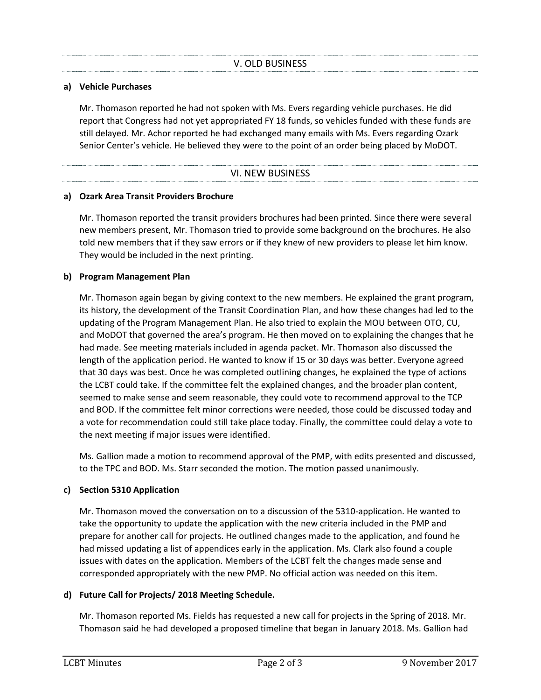#### **a) Vehicle Purchases**

Mr. Thomason reported he had not spoken with Ms. Evers regarding vehicle purchases. He did report that Congress had not yet appropriated FY 18 funds, so vehicles funded with these funds are still delayed. Mr. Achor reported he had exchanged many emails with Ms. Evers regarding Ozark Senior Center's vehicle. He believed they were to the point of an order being placed by MoDOT.

| <b>VI. NEW BUSINESS</b> |  |
|-------------------------|--|

#### **a) Ozark Area Transit Providers Brochure**

Mr. Thomason reported the transit providers brochures had been printed. Since there were several new members present, Mr. Thomason tried to provide some background on the brochures. He also told new members that if they saw errors or if they knew of new providers to please let him know. They would be included in the next printing.

#### **b) Program Management Plan**

Mr. Thomason again began by giving context to the new members. He explained the grant program, its history, the development of the Transit Coordination Plan, and how these changes had led to the updating of the Program Management Plan. He also tried to explain the MOU between OTO, CU, and MoDOT that governed the area's program. He then moved on to explaining the changes that he had made. See meeting materials included in agenda packet. Mr. Thomason also discussed the length of the application period. He wanted to know if 15 or 30 days was better. Everyone agreed that 30 days was best. Once he was completed outlining changes, he explained the type of actions the LCBT could take. If the committee felt the explained changes, and the broader plan content, seemed to make sense and seem reasonable, they could vote to recommend approval to the TCP and BOD. If the committee felt minor corrections were needed, those could be discussed today and a vote for recommendation could still take place today. Finally, the committee could delay a vote to the next meeting if major issues were identified.

Ms. Gallion made a motion to recommend approval of the PMP, with edits presented and discussed, to the TPC and BOD. Ms. Starr seconded the motion. The motion passed unanimously.

## **c) Section 5310 Application**

Mr. Thomason moved the conversation on to a discussion of the 5310-application. He wanted to take the opportunity to update the application with the new criteria included in the PMP and prepare for another call for projects. He outlined changes made to the application, and found he had missed updating a list of appendices early in the application. Ms. Clark also found a couple issues with dates on the application. Members of the LCBT felt the changes made sense and corresponded appropriately with the new PMP. No official action was needed on this item.

## **d) Future Call for Projects/ 2018 Meeting Schedule.**

Mr. Thomason reported Ms. Fields has requested a new call for projects in the Spring of 2018. Mr. Thomason said he had developed a proposed timeline that began in January 2018. Ms. Gallion had